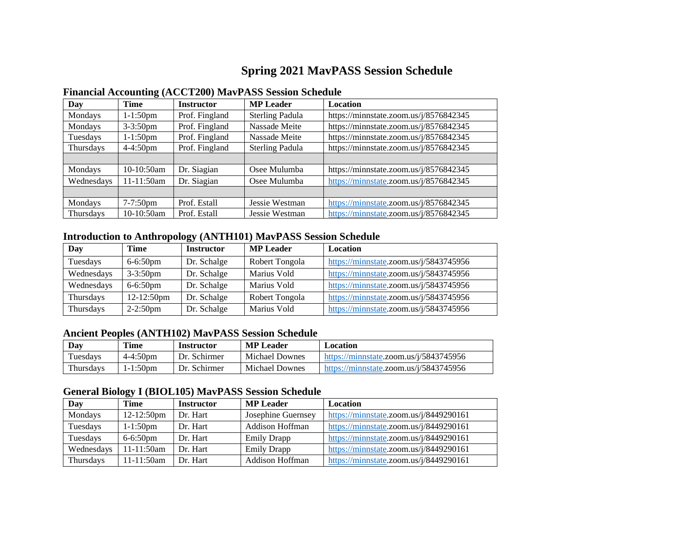## **Spring 2021 MavPASS Session Schedule**

| Day        | Time          | <b>Instructor</b> | <b>MP</b> Leader       | <b>Location</b>                        |
|------------|---------------|-------------------|------------------------|----------------------------------------|
| Mondays    | $1-1:50$ pm   | Prof. Fingland    | <b>Sterling Padula</b> | https://minnstate.zoom.us/j/8576842345 |
| Mondays    | $3 - 3:50$ pm | Prof. Fingland    | Nassade Meite          | https://minnstate.zoom.us/j/8576842345 |
| Tuesdays   | 1-1:50pm      | Prof. Fingland    | Nassade Meite          | https://minnstate.zoom.us/j/8576842345 |
| Thursdays  | $4 - 4:50$ pm | Prof. Fingland    | <b>Sterling Padula</b> | https://minnstate.zoom.us/j/8576842345 |
|            |               |                   |                        |                                        |
| Mondays    | $10-10:50am$  | Dr. Siagian       | Osee Mulumba           | https://minnstate.zoom.us/j/8576842345 |
| Wednesdays | 11-11:50am    | Dr. Siagian       | Osee Mulumba           | https://minnstate.zoom.us/j/8576842345 |
|            |               |                   |                        |                                        |
| Mondays    | $7 - 7:50$ pm | Prof. Estall      | Jessie Westman         | https://minnstate.zoom.us/j/8576842345 |
| Thursdays  | $10-10:50am$  | Prof. Estall      | Jessie Westman         | https://minnstate.zoom.us/j/8576842345 |

## **Financial Accounting (ACCT200) MavPASS Session Schedule**

## **Introduction to Anthropology (ANTH101) MavPASS Session Schedule**

| Day        | <b>Time</b>   | <b>Instructor</b> | <b>MP</b> Leader | <b>Location</b>                        |
|------------|---------------|-------------------|------------------|----------------------------------------|
| Tuesdays   | $6 - 6:50$ pm | Dr. Schalge       | Robert Tongola   | https://minnstate.zoom.us/j/5843745956 |
| Wednesdays | $3 - 3:50$ pm | Dr. Schalge       | Marius Vold      | https://minnstate.zoom.us/j/5843745956 |
| Wednesdays | $6 - 6:50$ pm | Dr. Schalge       | Marius Vold      | https://minnstate.zoom.us/j/5843745956 |
| Thursdays  | 12-12:50pm    | Dr. Schalge       | Robert Tongola   | https://minnstate.zoom.us/j/5843745956 |
| Thursdays  | $2 - 2:50$ pm | Dr. Schalge       | Marius Vold      | https://minnstate.zoom.us/j/5843745956 |

## **Ancient Peoples (ANTH102) MavPASS Session Schedule**

| Day       | Time          | Instructor   | <b>MP</b> Leader      | Location                                          |
|-----------|---------------|--------------|-----------------------|---------------------------------------------------|
| l'uesdavs | $4 - 4:50$ pm | Dr. Schirmer | <b>Michael Downes</b> | https://minnstate.zoom.us/ $\frac{i}{5843745956}$ |
| Thursdavs | 1-1:50pm      | Dr. Schirmer | <b>Michael Downes</b> | https://minnstate.zoom.us/ $i/5843745956$         |

## **General Biology I (BIOL105) MavPASS Session Schedule**

| ີ ຕາມ      |               |                   |                        |                                        |
|------------|---------------|-------------------|------------------------|----------------------------------------|
| Day        | Time          | <b>Instructor</b> | <b>MP</b> Leader       | Location                               |
| Mondays    | 12-12:50pm    | Dr. Hart          | Josephine Guernsey     | https://minnstate.zoom.us/j/8449290161 |
| Tuesdays   | $1 - 1:50$ pm | Dr. Hart          | <b>Addison Hoffman</b> | https://minnstate.zoom.us/j/8449290161 |
| Tuesdays   | $6 - 6:50$ pm | Dr. Hart          | <b>Emily Drapp</b>     | https://minnstate.zoom.us/j/8449290161 |
| Wednesdays | 11-11:50am    | Dr. Hart          | <b>Emily Drapp</b>     | https://minnstate.zoom.us/j/8449290161 |
| Thursdays  | 11-11:50am    | Dr. Hart          | <b>Addison Hoffman</b> | https://minnstate.zoom.us/j/8449290161 |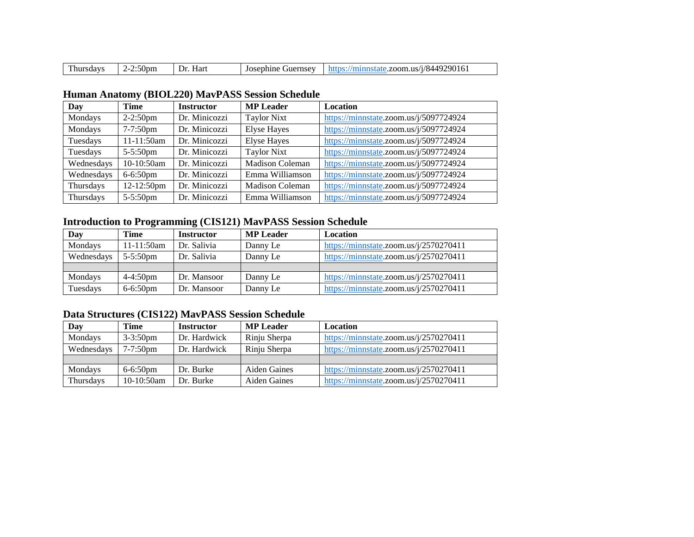| m | $-$<br>ענטי | lar<br>)r | 0.027<br>nς<br>ne<br>-тнет<br>$\sim$ | .<br>79A.<br>$\lambda$<br>. л.<br>11C<br>ΩП.<br>л.<br>,,, |
|---|-------------|-----------|--------------------------------------|-----------------------------------------------------------|
|---|-------------|-----------|--------------------------------------|-----------------------------------------------------------|

## **Human Anatomy (BIOL220) MavPASS Session Schedule**

| Day        | Time          | <b>Instructor</b> | <b>MP</b> Leader       | Location                               |
|------------|---------------|-------------------|------------------------|----------------------------------------|
| Mondays    | $2-2:50$ pm   | Dr. Minicozzi     | <b>Taylor Nixt</b>     | https://minnstate.zoom.us/j/5097724924 |
| Mondays    | $7 - 7:50$ pm | Dr. Minicozzi     | <b>Elyse Hayes</b>     | https://minnstate.zoom.us/j/5097724924 |
| Tuesdays   | 11-11:50am    | Dr. Minicozzi     | <b>Elyse Hayes</b>     | https://minnstate.zoom.us/j/5097724924 |
| Tuesdays   | $5 - 5:50$ pm | Dr. Minicozzi     | <b>Taylor Nixt</b>     | https://minnstate.zoom.us/j/5097724924 |
| Wednesdays | 10-10:50am    | Dr. Minicozzi     | <b>Madison Coleman</b> | https://minnstate.zoom.us/j/5097724924 |
| Wednesdays | $6 - 6:50$ pm | Dr. Minicozzi     | Emma Williamson        | https://minnstate.zoom.us/j/5097724924 |
| Thursdays  | 12-12:50pm    | Dr. Minicozzi     | <b>Madison Coleman</b> | https://minnstate.zoom.us/j/5097724924 |
| Thursdays  | $5 - 5:50$ pm | Dr. Minicozzi     | Emma Williamson        | https://minnstate.zoom.us/j/5097724924 |

## **Introduction to Programming (CIS121) MavPASS Session Schedule**

| Day        | Time                 | <b>Instructor</b> | <b>MP Leader</b> | Location                               |
|------------|----------------------|-------------------|------------------|----------------------------------------|
| Mondays    | $11-11:50am$         | Dr. Salivia       | Danny Le         | https://minnstate.zoom.us/j/2570270411 |
| Wednesdays | $5 - 5:50$ pm        | Dr. Salivia       | Danny Le         | https://minnstate.zoom.us/j/2570270411 |
|            |                      |                   |                  |                                        |
| Mondays    | $4 - 4:50 \text{pm}$ | Dr. Mansoor       | Danny Le         | https://minnstate.zoom.us/j/2570270411 |
| Tuesdays   | $6 - 6:50$ pm        | Dr. Mansoor       | Danny Le         | https://minnstate.zoom.us/j/2570270411 |

## **Data Structures (CIS122) MavPASS Session Schedule**

| Day        | Time          | <b>Instructor</b> | <b>MP</b> Leader    | Location                               |
|------------|---------------|-------------------|---------------------|----------------------------------------|
| Mondays    | $3 - 3:50$ pm | Dr. Hardwick      | Rinju Sherpa        | https://minnstate.zoom.us/j/2570270411 |
| Wednesdays | $7 - 7:50$ pm | Dr. Hardwick      | Rinju Sherpa        | https://minnstate.zoom.us/j/2570270411 |
|            |               |                   |                     |                                        |
| Mondays    | $6 - 6:50$ pm | Dr. Burke         | <b>Aiden Gaines</b> | https://minnstate.zoom.us/j/2570270411 |
| Thursdays  | 10-10:50am    | Dr. Burke         | Aiden Gaines        | https://minnstate.zoom.us/j/2570270411 |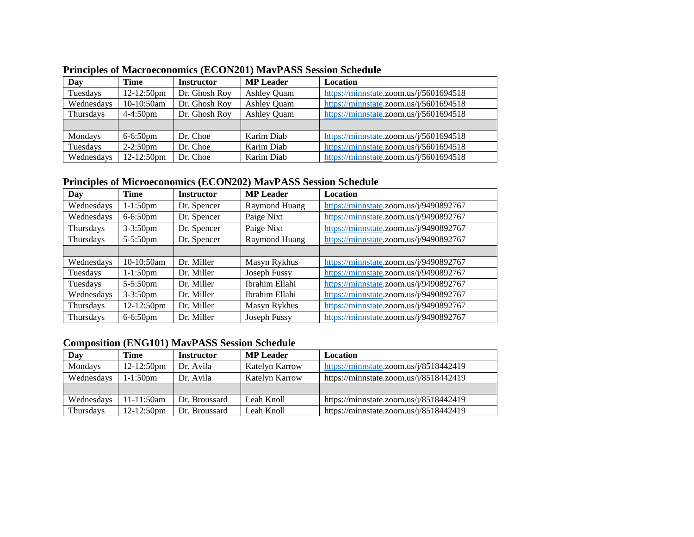| Day        | <b>Time</b>   | <b>Instructor</b> | <b>MP</b> Leader   | Location                               |
|------------|---------------|-------------------|--------------------|----------------------------------------|
| Tuesdays   | 12-12:50pm    | Dr. Ghosh Roy     | <b>Ashley Quam</b> | https://minnstate.zoom.us/j/5601694518 |
| Wednesdays | 10-10:50am    | Dr. Ghosh Roy     | <b>Ashley Quam</b> | https://minnstate.zoom.us/j/5601694518 |
| Thursdays  | $4 - 4:50$ pm | Dr. Ghosh Roy     | <b>Ashley Quam</b> | https://minnstate.zoom.us/j/5601694518 |
|            |               |                   |                    |                                        |
| Mondays    | $6-6:50$ pm   | Dr. Choe          | Karim Diab         | https://minnstate.zoom.us/j/5601694518 |
| Tuesdays   | $2-2:50$ pm   | Dr. Choe          | Karim Diab         | https://minnstate.zoom.us/j/5601694518 |
| Wednesdays | 12-12:50pm    | Dr. Choe          | Karim Diab         | https://minnstate.zoom.us/j/5601694518 |

## **Principles of Macroeconomics (ECON201) MavPASS Session Schedule**

## **Principles of Microeconomics (ECON202) MavPASS Session Schedule**

| Day        | Time          | <b>Instructor</b> | <b>MP</b> Leader | <b>Location</b>                        |
|------------|---------------|-------------------|------------------|----------------------------------------|
| Wednesdays | $1-1:50$ pm   | Dr. Spencer       | Raymond Huang    | https://minnstate.zoom.us/j/9490892767 |
| Wednesdays | $6 - 6:50$ pm | Dr. Spencer       | Paige Nixt       | https://minnstate.zoom.us/j/9490892767 |
| Thursdays  | $3 - 3:50$ pm | Dr. Spencer       | Paige Nixt       | https://minnstate.zoom.us/j/9490892767 |
| Thursdays  | $5 - 5:50$ pm | Dr. Spencer       | Raymond Huang    | https://minnstate.zoom.us/j/9490892767 |
|            |               |                   |                  |                                        |
| Wednesdays | 10-10:50am    | Dr. Miller        | Masyn Rykhus     | https://minnstate.zoom.us/j/9490892767 |
| Tuesdays   | $1 - 1:50$ pm | Dr. Miller        | Joseph Fussy     | https://minnstate.zoom.us/j/9490892767 |
| Tuesdays   | $5 - 5:50$ pm | Dr. Miller        | Ibrahim Ellahi   | https://minnstate.zoom.us/j/9490892767 |
| Wednesdays | $3 - 3:50$ pm | Dr. Miller        | Ibrahim Ellahi   | https://minnstate.zoom.us/j/9490892767 |
| Thursdays  | 12-12:50pm    | Dr. Miller        | Masyn Rykhus     | https://minnstate.zoom.us/j/9490892767 |
| Thursdays  | $6 - 6:50$ pm | Dr. Miller        | Joseph Fussy     | https://minnstate.zoom.us/j/9490892767 |

## **Composition (ENG101) MavPASS Session Schedule**

| Day        | Time                 | <b>Instructor</b> | <b>MP</b> Leader | Location                               |
|------------|----------------------|-------------------|------------------|----------------------------------------|
| Mondays    | $12-12:50 \text{pm}$ | Dr. Avila         | Katelyn Karrow   | https://minnstate.zoom.us/j/8518442419 |
| Wednesdays | $1 - 1:50$ pm        | Dr. Avila         | Katelyn Karrow   | https://minnstate.zoom.us/j/8518442419 |
|            |                      |                   |                  |                                        |
| Wednesdays | $11-11:50am$         | Dr. Broussard     | Leah Knoll       | https://minnstate.zoom.us/j/8518442419 |
| Thursdays  | $12-12:50$ pm        | Dr. Broussard     | Leah Knoll       | https://minnstate.zoom.us/j/8518442419 |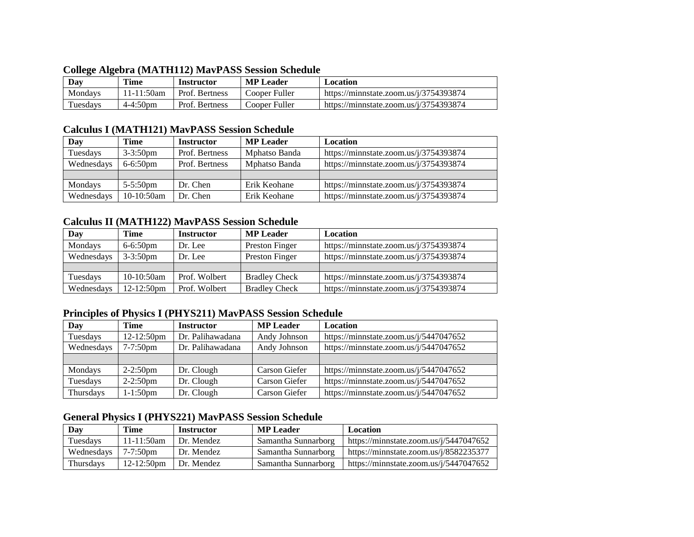| Conege Algebra (MATILITZ) May ASS Session Schedule |          |               |                   |                  |                                           |
|----------------------------------------------------|----------|---------------|-------------------|------------------|-------------------------------------------|
|                                                    | Day      | Time          | <b>Instructor</b> | <b>MP</b> Leader | Location                                  |
|                                                    | Mondays  | 11-11:50am    | Prof. Bertness    | Cooper Fuller    | https://minnstate.zoom.us/ $i/3754393874$ |
|                                                    | Tuesdays | $4 - 4:50$ pm | Prof. Bertness    | Cooper Fuller    | https://minnstate.zoom.us/j/3754393874    |

#### **College Algebra (MATH112) MavPASS Session Schedule**

#### **Calculus I (MATH121) MavPASS Session Schedule**

| Day        | Time          | <b>Instructor</b> | <b>MP</b> Leader | <b>Location</b>                        |
|------------|---------------|-------------------|------------------|----------------------------------------|
| Tuesdays   | $3 - 3:50$ pm | Prof. Bertness    | Mphatso Banda    | https://minnstate.zoom.us/j/3754393874 |
| Wednesdays | $6 - 6:50$ pm | Prof. Bertness    | Mphatso Banda    | https://minnstate.zoom.us/j/3754393874 |
|            |               |                   |                  |                                        |
| Mondays    | $5 - 5:50$ pm | Dr. Chen          | Erik Keohane     | https://minnstate.zoom.us/j/3754393874 |
| Wednesdays | 10-10:50am    | Dr. Chen          | Erik Keohane     | https://minnstate.zoom.us/j/3754393874 |

## **Calculus II (MATH122) MavPASS Session Schedule**

| Day        | Time          | <b>Instructor</b> | <b>MP</b> Leader     | <b>Location</b>                        |
|------------|---------------|-------------------|----------------------|----------------------------------------|
| Mondays    | $6 - 6:50$ pm | Dr. Lee           | Preston Finger       | https://minnstate.zoom.us/j/3754393874 |
| Wednesdays | $3 - 3:50$ pm | Dr. Lee           | Preston Finger       | https://minnstate.zoom.us/j/3754393874 |
|            |               |                   |                      |                                        |
| Tuesdays   | $10-10:50am$  | Prof. Wolbert     | <b>Bradley Check</b> | https://minnstate.zoom.us/j/3754393874 |
| Wednesdays | $12-12:50$ pm | Prof. Wolbert     | <b>Bradley Check</b> | https://minnstate.zoom.us/j/3754393874 |

## **Principles of Physics I (PHYS211) MavPASS Session Schedule**

| Day        | Time        | <b>Instructor</b> | <b>MP</b> Leader | Location                               |
|------------|-------------|-------------------|------------------|----------------------------------------|
| Tuesdays   | 12-12:50pm  | Dr. Palihawadana  | Andy Johnson     | https://minnstate.zoom.us/j/5447047652 |
| Wednesdays | $7-7:50$ pm | Dr. Palihawadana  | Andy Johnson     | https://minnstate.zoom.us/j/5447047652 |
|            |             |                   |                  |                                        |
| Mondays    | $2-2:50$ pm | Dr. Clough        | Carson Giefer    | https://minnstate.zoom.us/j/5447047652 |
| Tuesdays   | $2-2:50$ pm | Dr. Clough        | Carson Giefer    | https://minnstate.zoom.us/j/5447047652 |
| Thursdays  | $1-1:50$ pm | Dr. Clough        | Carson Giefer    | https://minnstate.zoom.us/j/5447047652 |

## **General Physics I (PHYS221) MavPASS Session Schedule**

| Day              | Time          | <b>Instructor</b> | <b>MP</b> Leader    | <b>Location</b>                        |
|------------------|---------------|-------------------|---------------------|----------------------------------------|
| Tuesdays         | $11-11:50am$  | Dr. Mendez        | Samantha Sunnarborg | https://minnstate.zoom.us/j/5447047652 |
| Wednesdays       | $7 - 7:50$ pm | Dr. Mendez        | Samantha Sunnarborg | https://minnstate.zoom.us/j/8582235377 |
| <b>Thursdays</b> | $12-12:50$ pm | Dr. Mendez        | Samantha Sunnarborg | https://minnstate.zoom.us/j/5447047652 |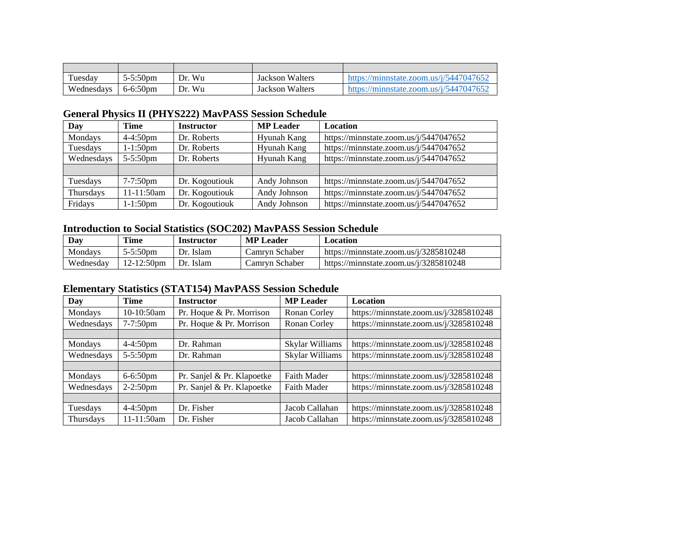| Tuesdav    | $5 - 5:50$ pm | Wu<br>Dr. | <b>Jackson Walters</b> | https://minnstate.zoom.us/j/5447047652 |
|------------|---------------|-----------|------------------------|----------------------------------------|
| Wednesdays | 6-6:50pm      | Wu<br>Dr. | <b>Jackson Walters</b> | https://minnstate.zoom.us/j/5447047652 |

## **General Physics II (PHYS222) MavPASS Session Schedule**

| Day        | <b>Time</b>   | <b>Instructor</b> | <b>MP</b> Leader | <b>Location</b>                        |
|------------|---------------|-------------------|------------------|----------------------------------------|
| Mondays    | $4 - 4:50$ pm | Dr. Roberts       | Hyunah Kang      | https://minnstate.zoom.us/j/5447047652 |
| Tuesdays   | $1 - 1:50$ pm | Dr. Roberts       | Hyunah Kang      | https://minnstate.zoom.us/j/5447047652 |
| Wednesdays | $5 - 5:50$ pm | Dr. Roberts       | Hyunah Kang      | https://minnstate.zoom.us/j/5447047652 |
|            |               |                   |                  |                                        |
| Tuesdays   | $7-7:50$ pm   | Dr. Kogoutiouk    | Andy Johnson     | https://minnstate.zoom.us/j/5447047652 |
| Thursdays  | 11-11:50am    | Dr. Kogoutiouk    | Andy Johnson     | https://minnstate.zoom.us/j/5447047652 |
| Fridays    | $1 - 1:50$ pm | Dr. Kogoutiouk    | Andy Johnson     | https://minnstate.zoom.us/j/5447047652 |

## **Introduction to Social Statistics (SOC202) MavPASS Session Schedule**

| Dav       | <b>Time</b>   | Instructor   | <b>MP</b> Leader | Location                                  |
|-----------|---------------|--------------|------------------|-------------------------------------------|
| Mondavs   | $5 - 5:50$ pm | Dr.<br>Islam | Camrvn Schaber   | https://minnstate.zoom.us/ $i/3285810248$ |
| Wednesdav | $12-12:50$ pm | Dr.<br>Islam | Camrvn Schaber   | https://minnstate.zoom.us/ $i/3285810248$ |

## **Elementary Statistics (STAT154) MavPASS Session Schedule**

| Day        | <b>Time</b>   | <b>Instructor</b>          | <b>MP</b> Leader | Location                               |
|------------|---------------|----------------------------|------------------|----------------------------------------|
| Mondays    | $10-10:50am$  | Pr. Hoque & Pr. Morrison   | Ronan Corley     | https://minnstate.zoom.us/j/3285810248 |
| Wednesdays | $7 - 7:50$ pm | Pr. Hoque & Pr. Morrison   | Ronan Corley     | https://minnstate.zoom.us/j/3285810248 |
|            |               |                            |                  |                                        |
| Mondays    | $4-4:50$ pm   | Dr. Rahman                 | Skylar Williams  | https://minnstate.zoom.us/j/3285810248 |
| Wednesdays | $5 - 5:50$ pm | Dr. Rahman                 | Skylar Williams  | https://minnstate.zoom.us/j/3285810248 |
|            |               |                            |                  |                                        |
| Mondays    | $6 - 6:50$ pm | Pr. Sanjel & Pr. Klapoetke | Faith Mader      | https://minnstate.zoom.us/j/3285810248 |
| Wednesdays | $2-2:50$ pm   | Pr. Sanjel & Pr. Klapoetke | Faith Mader      | https://minnstate.zoom.us/j/3285810248 |
|            |               |                            |                  |                                        |
| Tuesdays   | $4-4:50$ pm   | Dr. Fisher                 | Jacob Callahan   | https://minnstate.zoom.us/j/3285810248 |
| Thursdays  | $11-11:50am$  | Dr. Fisher                 | Jacob Callahan   | https://minnstate.zoom.us/j/3285810248 |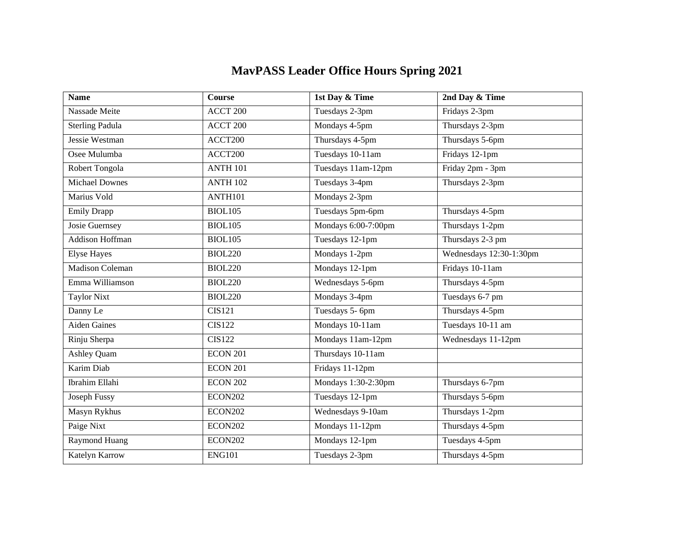# **MavPASS Leader Office Hours Spring 2021**

| <b>Name</b>            | <b>Course</b>        | 1st Day & Time      | 2nd Day & Time          |
|------------------------|----------------------|---------------------|-------------------------|
| Nassade Meite          | ACCT 200             | Tuesdays 2-3pm      | Fridays 2-3pm           |
| <b>Sterling Padula</b> | ACCT 200             | Mondays 4-5pm       | Thursdays 2-3pm         |
| Jessie Westman         | ACCT200              | Thursdays 4-5pm     | Thursdays 5-6pm         |
| Osee Mulumba           | ACCT200              | Tuesdays 10-11am    | Fridays 12-1pm          |
| Robert Tongola         | <b>ANTH 101</b>      | Tuesdays 11am-12pm  | Friday 2pm - 3pm        |
| <b>Michael Downes</b>  | <b>ANTH 102</b>      | Tuesdays 3-4pm      | Thursdays 2-3pm         |
| Marius Vold            | ANTH101              | Mondays 2-3pm       |                         |
| Emily Drapp            | <b>BIOL105</b>       | Tuesdays 5pm-6pm    | Thursdays 4-5pm         |
| Josie Guernsey         | <b>BIOL105</b>       | Mondays 6:00-7:00pm | Thursdays 1-2pm         |
| Addison Hoffman        | <b>BIOL105</b>       | Tuesdays 12-1pm     | Thursdays 2-3 pm        |
| <b>Elyse Hayes</b>     | <b>BIOL220</b>       | Mondays 1-2pm       | Wednesdays 12:30-1:30pm |
| <b>Madison Coleman</b> | $\overline{BIOL220}$ | Mondays 12-1pm      | Fridays 10-11am         |
| Emma Williamson        | <b>BIOL220</b>       | Wednesdays 5-6pm    | Thursdays 4-5pm         |
| <b>Taylor Nixt</b>     | <b>BIOL220</b>       | Mondays 3-4pm       | Tuesdays 6-7 pm         |
| Danny Le               | <b>CIS121</b>        | Tuesdays 5- 6pm     | Thursdays 4-5pm         |
| Aiden Gaines           | <b>CIS122</b>        | Mondays 10-11am     | Tuesdays 10-11 am       |
| Rinju Sherpa           | <b>CIS122</b>        | Mondays 11am-12pm   | Wednesdays 11-12pm      |
| <b>Ashley Quam</b>     | <b>ECON 201</b>      | Thursdays 10-11am   |                         |
| Karim Diab             | <b>ECON 201</b>      | Fridays 11-12pm     |                         |
| Ibrahim Ellahi         | <b>ECON 202</b>      | Mondays 1:30-2:30pm | Thursdays 6-7pm         |
| Joseph Fussy           | <b>ECON202</b>       | Tuesdays 12-1pm     | Thursdays 5-6pm         |
| Masyn Rykhus           | ECON202              | Wednesdays 9-10am   | Thursdays 1-2pm         |
| Paige Nixt             | <b>ECON202</b>       | Mondays 11-12pm     | Thursdays 4-5pm         |
| Raymond Huang          | <b>ECON202</b>       | Mondays 12-1pm      | Tuesdays 4-5pm          |
| Katelyn Karrow         | <b>ENG101</b>        | Tuesdays 2-3pm      | Thursdays 4-5pm         |